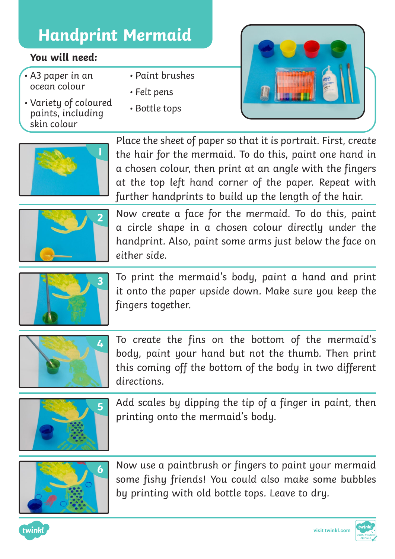## **Handprint Mermaid**

## **You will need:**

- A3 paper in an ocean colour
- Variety of coloured paints, including skin colour
- Paint brushes
- Felt pens
- Bottle tops





Place the sheet of paper so that it is portrait. First, create the hair for the mermaid. To do this, paint one hand in a chosen colour, then print at an angle with the fingers at the top left hand corner of the paper. Repeat with further handprints to build up the length of the hair.



Now create a face for the mermaid. To do this, paint a circle shape in a chosen colour directly under the handprint. Also, paint some arms just below the face on either side.



To print the mermaid's body, paint a hand and print it onto the paper upside down. Make sure you keep the fingers together.



To create the fins on the bottom of the mermaid's body, paint your hand but not the thumb. Then print this coming off the bottom of the body in two different directions.



Add scales by dipping the tip of a finger in paint, then printing onto the mermaid's body.



Now use a paintbrush or fingers to paint your mermaid some fishy friends! You could also make some bubbles by printing with old bottle tops. Leave to dry.





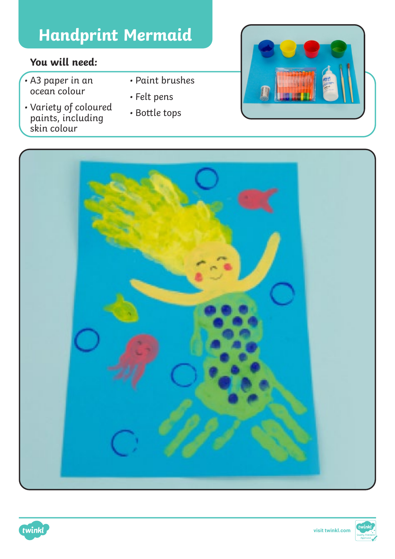## **Handprint Mermaid**

## **You will need:**

- A3 paper in an ocean colour
- Variety of coloured paints, including skin colour
- Paint brushes
- Felt pens
- Bottle tops







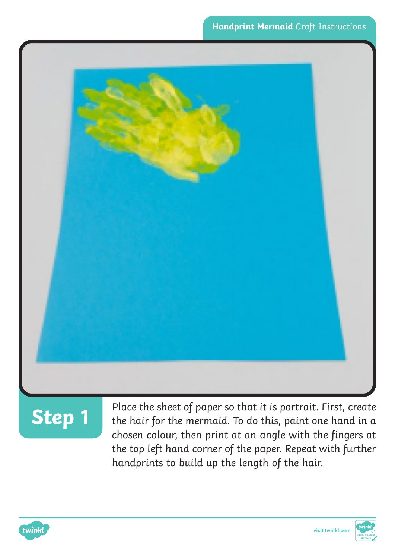

# **Step 1**

Place the sheet of paper so that it is portrait. First, create the hair for the mermaid. To do this, paint one hand in a chosen colour, then print at an angle with the fingers at the top left hand corner of the paper. Repeat with further handprints to build up the length of the hair.

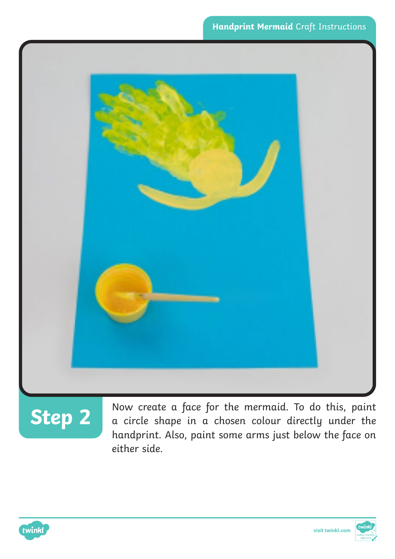

**Step 2** Now create a face for the mermaid. To do this, paint a circle shape in a chosen colour directly under the handprint. Also, paint some arms just below the face on either side.



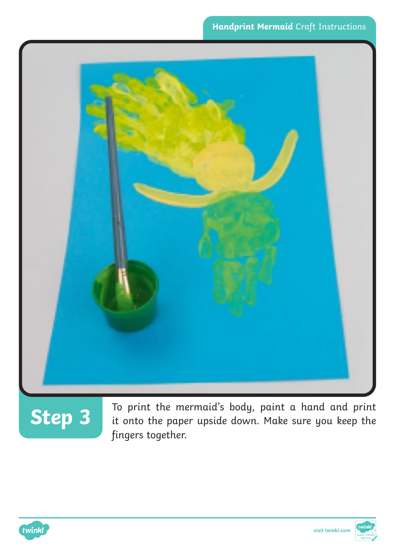

# **Step 3**

To print the mermaid's body, paint a hand and print it onto the paper upside down. Make sure you keep the fingers together.



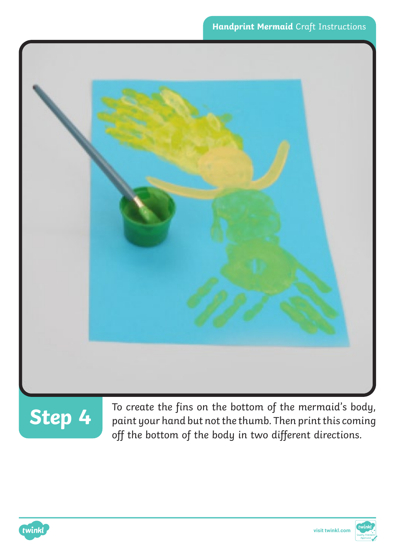



**Step 4** To create the fins on the bottom of the mermaid's body, paint your hand but not the thumb. Then print this coming off the bottom of the body in two different directions.

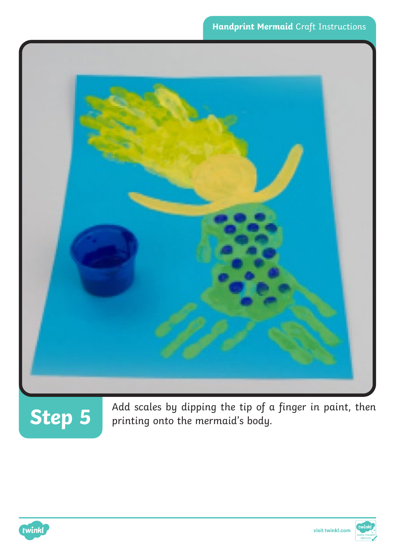



Add scales by dipping the tip of a finger in paint, then printing onto the mermaid's body.

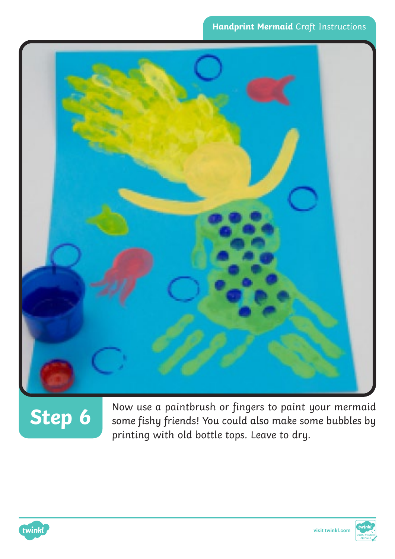

# **Step 6**

Now use a paintbrush or fingers to paint your mermaid some fishy friends! You could also make some bubbles by printing with old bottle tops. Leave to dry.